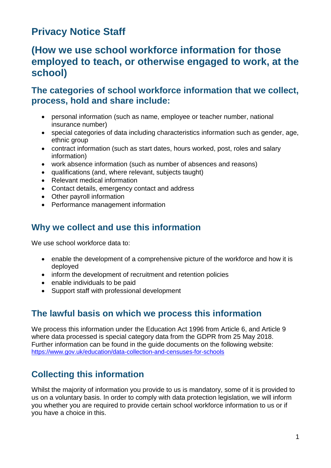# **Privacy Notice Staff**

## **(How we use school workforce information for those employed to teach, or otherwise engaged to work, at the school)**

#### **The categories of school workforce information that we collect, process, hold and share include:**

- personal information (such as name, employee or teacher number, national insurance number)
- special categories of data including characteristics information such as gender, age, ethnic group
- contract information (such as start dates, hours worked, post, roles and salary information)
- work absence information (such as number of absences and reasons)
- qualifications (and, where relevant, subjects taught)
- Relevant medical information
- Contact details, emergency contact and address
- Other payroll information
- Performance management information

#### **Why we collect and use this information**

We use school workforce data to:

- enable the development of a comprehensive picture of the workforce and how it is deployed
- inform the development of recruitment and retention policies
- enable individuals to be paid
- Support staff with professional development

### **The lawful basis on which we process this information**

We process this information under the Education Act 1996 from Article 6, and Article 9 where data processed is special category data from the GDPR from 25 May 2018. Further information can be found in the guide documents on the following website: <https://www.gov.uk/education/data-collection-and-censuses-for-schools>

### **Collecting this information**

Whilst the majority of information you provide to us is mandatory, some of it is provided to us on a voluntary basis. In order to comply with data protection legislation, we will inform you whether you are required to provide certain school workforce information to us or if you have a choice in this.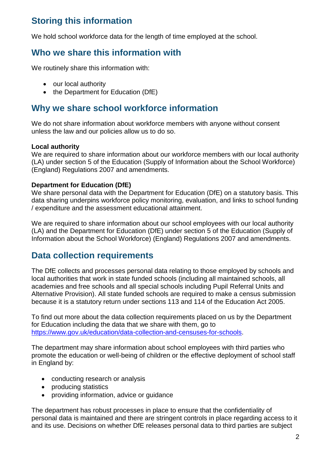## **Storing this information**

We hold school workforce data for the length of time employed at the school.

#### **Who we share this information with**

We routinely share this information with:

- our local authority
- the Department for Education (DfE)

#### **Why we share school workforce information**

We do not share information about workforce members with anyone without consent unless the law and our policies allow us to do so.

#### **Local authority**

We are required to share information about our workforce members with our local authority (LA) under section 5 of the Education (Supply of Information about the School Workforce) (England) Regulations 2007 and amendments.

#### **Department for Education (DfE)**

We share personal data with the Department for Education (DfE) on a statutory basis. This data sharing underpins workforce policy monitoring, evaluation, and links to school funding / expenditure and the assessment educational attainment.

We are required to share information about our school employees with our local authority (LA) and the Department for Education (DfE) under section 5 of the Education (Supply of Information about the School Workforce) (England) Regulations 2007 and amendments.

#### **Data collection requirements**

The DfE collects and processes personal data relating to those employed by schools and local authorities that work in state funded schools (including all maintained schools, all academies and free schools and all special schools including Pupil Referral Units and Alternative Provision). All state funded schools are required to make a census submission because it is a statutory return under sections 113 and 114 of the Education Act 2005.

To find out more about the data collection requirements placed on us by the Department for Education including the data that we share with them, go to [https://www.gov.uk/education/data-collection-and-censuses-for-schools.](https://www.gov.uk/education/data-collection-and-censuses-for-schools)

The department may share information about school employees with third parties who promote the education or well-being of children or the effective deployment of school staff in England by:

- conducting research or analysis
- producing statistics
- providing information, advice or quidance

The department has robust processes in place to ensure that the confidentiality of personal data is maintained and there are stringent controls in place regarding access to it and its use. Decisions on whether DfE releases personal data to third parties are subject